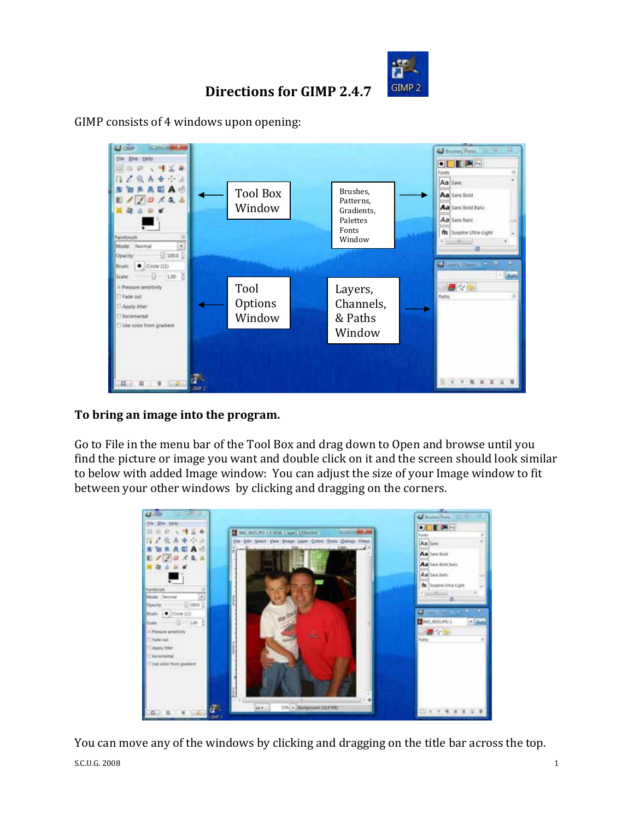

## **Directions for GIMP 2.4.7**

GIMP consists of 4 windows upon opening:



## **To bring an image into the program.**

Go to File in the menu bar of the Tool Box and drag down to Open and browse until you find the picture or image you want and double click on it and the screen should look similar to below with added Image window: You can adjust the size of your Image window to fit between your other windows by clicking and dragging on the corners.



You can move any of the windows by clicking and dragging on the title bar across the top.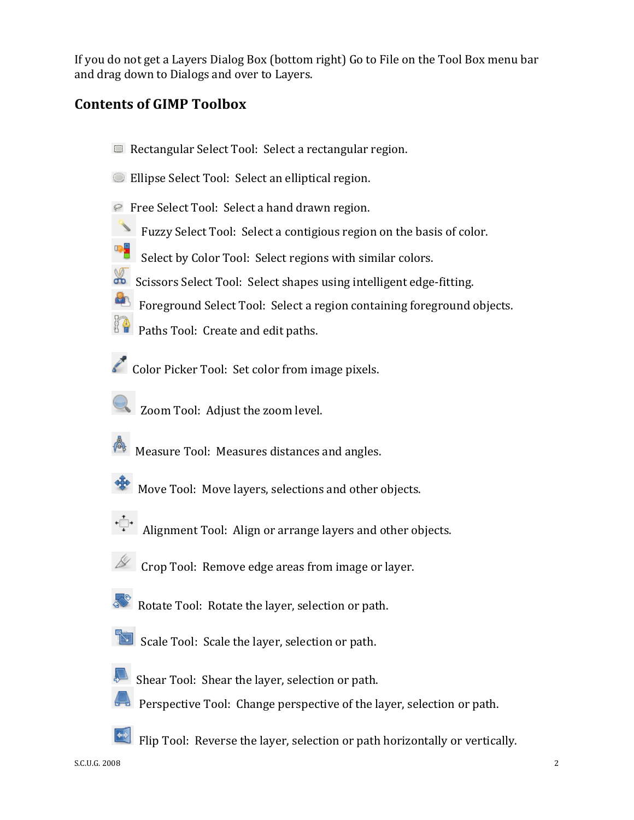If you do not get a Layers Dialog Box (bottom right) Go to File on the Tool Box menu bar and drag down to Dialogs and over to Layers.

# **Contents of GIMP Toolbox**

- Rectangular Select Tool: Select a rectangular region.
- Ellipse Select Tool: Select an elliptical region.
- **P** Free Select Tool: Select a hand drawn region.
- Fuzzy Select Tool: Select a contigious region on the basis of color.
- Select by Color Tool: Select regions with similar colors.
- Scissors Select Tool: Select shapes using intelligent edge-fitting.
- Foreground Select Tool: Select a region containing foreground objects.
- **Paths Tool: Create and edit paths.**
- Color Picker Tool: Set color from image pixels.
	- Zoom Tool: Adjust the zoom level.
- **Measure Tool: Measures distances and angles.**
- Move Tool: Move layers, selections and other objects.
	- Alignment Tool: Align or arrange layers and other objects.
- $\mathscr{L}$  Crop Tool: Remove edge areas from image or layer.
- Rotate Tool: Rotate the layer, selection or path.
- Scale Tool: Scale the layer, selection or path.
- - Shear Tool: Shear the layer, selection or path.
- **Perspective Tool: Change perspective of the layer, selection or path.**
- Filip Tool: Reverse the layer, selection or path horizontally or vertically.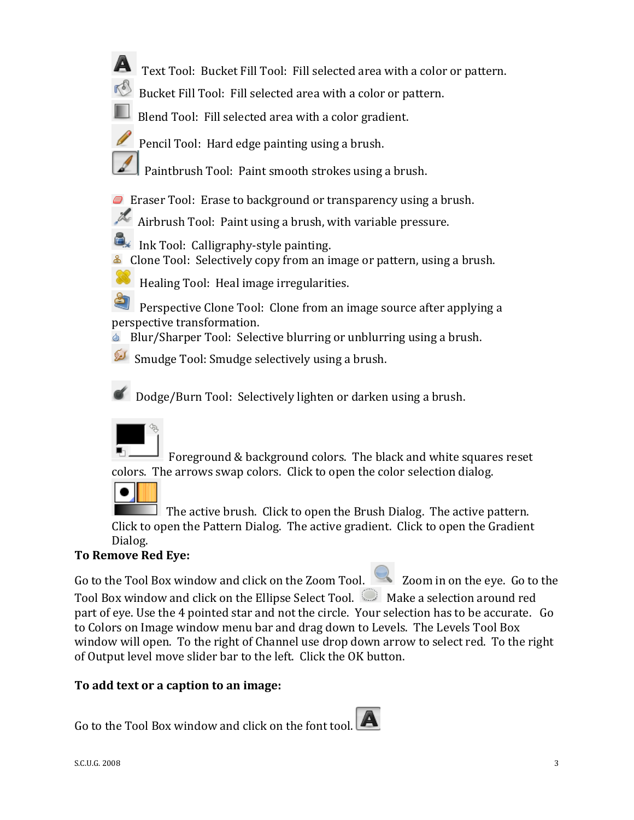- **A** Text Tool: Bucket Fill Tool: Fill selected area with a color or pattern.
	- Bucket Fill Tool: Fill selected area with a color or pattern.
	- Blend Tool: Fill selected area with a color gradient.
		- Pencil Tool: Hard edge painting using a brush.
- Paintbrush Tool: Paint smooth strokes using a brush.
- **E** Eraser Tool: Erase to background or transparency using a brush.
- Airbrush Tool: Paint using a brush, with variable pressure.
- Ink Tool: Calligraphy‐style painting.
- **E** Clone Tool: Selectively copy from an image or pattern, using a brush.
	- Healing Tool: Heal image irregularities.
- Perspective Clone Tool: Clone from an image source after applying a perspective transformation.
- **Blur/Sharper Tool: Selective blurring or unblurring using a brush.**
- Smudge Tool: Smudge selectively using a brush.

Dodge/Burn Tool: Selectively lighten or darken using a brush.



 $\bullet$   $\vdash$ 

 Foreground & background colors. The black and white squares reset colors. The arrows swap colors. Click to open the color selection dialog.

 $\Box$  The active brush. Click to open the Brush Dialog. The active pattern. Click to open the Pattern Dialog. The active gradient. Click to open the Gradient Dialog.

## **To Remove Red Eye:**

Go to the Tool Box window and click on the Zoom Tool. **2008** Zoom in on the eye. Go to the Tool Box window and click on the Ellipse Select Tool. Nake a selection around red part of eye. Use the 4 pointed star and not the circle. Your selection has to be accurate. Go to Colors on Image window menu bar and drag down to Levels. The Levels Tool Box window will open. To the right of Channel use drop down arrow to select red. To the right of Output level move slider bar to the left. Click the OK button.

## **To add text or a caption to an image:**

Go to the Tool Box window and click on the font tool.

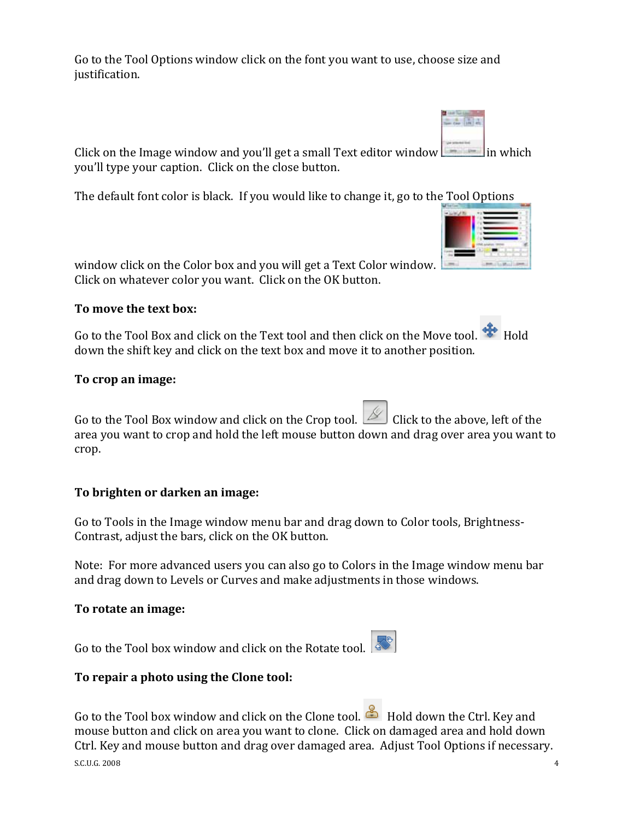Go to the Tool Options window click on the font you want to use, choose size and justification.

Click on the Image window and you'll get a small Text editor window  $\Box$  in which you'll type your caption. Click on the close button.

The default font color is black. If you would like to change it, go to the Tool Options

window click on the Color box and you will get a Text Color window. Click on whatever color you want. Click on the OK button.

### **To move the text box:**

Go to the Tool Box and click on the Text tool and then click on the Move tool.  $\frac{1}{2}$  Hold down the shift key and click on the text box and move it to another position.

#### **To crop an image:**

Go to the Tool Box window and click on the Crop tool.  $\Box$  Click to the above, left of the area you want to crop and hold the left mouse button down and drag over area you want to crop.

### **To brighten or darken an image:**

Go to Tools in the Image window menu bar and drag down to Color tools, Brightness‐ Contrast, adjust the bars, click on the OK button.

Note: For more advanced users you can also go to Colors in the Image window menu bar and drag down to Levels or Curves and make adjustments in those windows.

#### **To rotate an image:**

Go to the Tool box window and click on the Rotate tool.

### **To repair a photo using the Clone tool:**

 $\sim$  5.C.U.G. 2008  $\sim$  4 Go to the Tool box window and click on the Clone tool. Hold down the Ctrl. Key and mouse button and click on area you want to clone. Click on damaged area and hold down Ctrl. Key and mouse button and drag over damaged area. Adjust Tool Options if necessary.